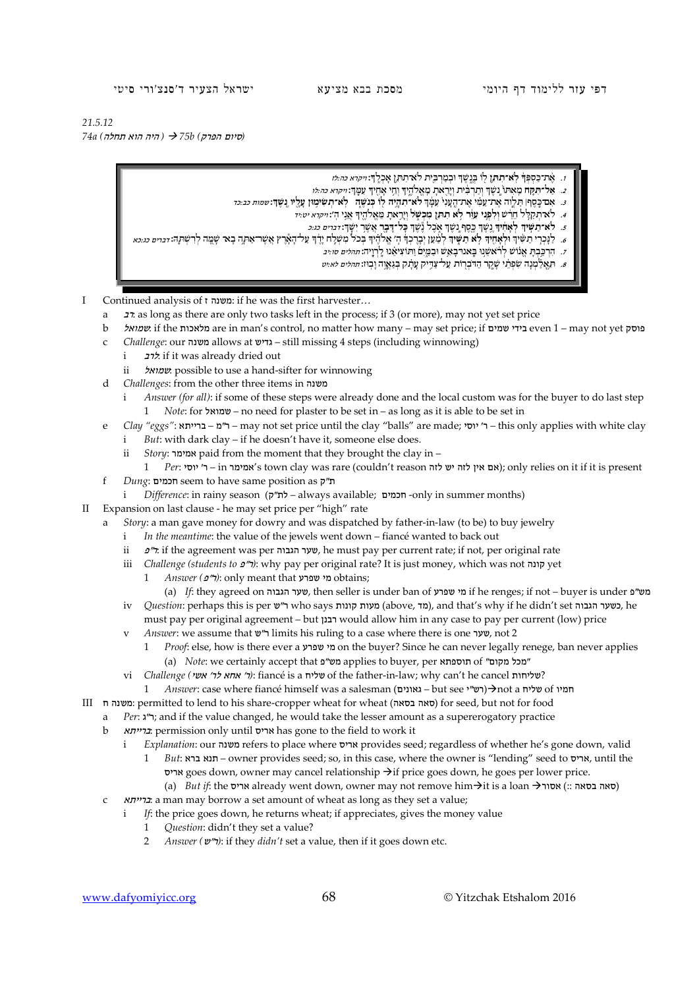דפי עזר ללימוד דף היומי מסכת בבא מציעא ישראל הצעיר ד'סנצ'ורי סיטי

*21.5.12*

 *(*סיום הפרק*) b75 )* היה הוא תחלה*) a74*

## ּו. אֶ**ּת־כַּסְפְּךָ לְא־תִתְּן לִוּ בְּנֵ**שֶׁךְ וּבְמַרְבֵּית לֹא־תִתּ**ֵן אָכְלֶךְ:**ו*יקרא כה:לז*

- ָי אַ אָר הַעֲן מְאִתוֹ נַשֶּׂךְ וְתַרְבִּ֫ית וְיָרֻאתָ מֶאֱלֹהֶיךָ וְחֵי אָחֻיִךְ עִמְרְ*: ייקרא כה:לו* .
- **נֶֽ שֶׁ ך**: שמות כב:כד **ְ** <sup>ך</sup> **לֹא־תִ הְ יֶ ֥ ה ל֖ וֹ כְּ נֹשֶׁ ֑ ה לֹֽ א־תְ שִׂ ימ֥ ּון עָ לָ ֖ יו** ְ .3 ּ אִ ם־כֶ֣ סֶ ף׀ ּתַ לְ וֶ֣ ה ּ אֶ ת־עַ מ ִ֗ י אֶ ת־הֶֽ עָ נִי֙ ּעִ מָ֔
	- **֖ ן מִ כְ שׁ ֹ֑ ל** ֵ וְיָר֥ אתָ ּמֵ אֱ לֹהֶ ֖ יך אֲנִ ֥ י הֽ ': ויקרא יט:יד ָ .4 ֵּ לֹא־תְ קַ ל֣ ל חֵ רֵ ֔ שׁ **ֵ וְלִ פְ נ֣ י ּעִ וֵ֔ ר לֹ֥ א ּתִ תֵ**
		- ּיִשָֽׁ ך: דברים כג:כ ְ שֶׁ ך **ּ כָּל־דָ בָ ֖ ר** אֲשֶׁ ֥ ר ְ שֶׁ ך אֹ֑ כֶ ל נֶ֕ ְ שֶׁ ך ּכֶ ֖ סֶ ף נֶ֣ ְ **יך** נֶ ֥ **ָ יך לְ אָ חִ֔ ְ** .5 **ּ לֹא־תַ שִׁ֣**
- e. לנכרי תשיר ולאחיד לא תשיד למען יברכר ה׳ א'היד בכל משלח ירד על הארץ אשר אתה בא־שמה לרשתה: *זברים כגכא* 
	- ן.<br>ד. הרכבת אנוש לרֹאשנו באנרבאָש וּבמִים וִתוֹצִיאנוּ לְרְוַיה: *תהלים סו:יב* .
	- ּ. הַאֲלַמְנָה שִׂפְרֵנִי שָׁקֶר הַדֹּבְרָוֹת עַל־צַדְיק עָתָ֫ק בְּגַאֲוֶה וָבְוּז: *תהלים לא:יט* .

I Continued analysis of ז משנה: if he was the first harvester…

- a רב: as long as there are only two tasks left in the process; if 3 (or more), may not yet set price
- b שמואל: if the מלאכות are in man's control, no matter how many may set price; if שמים בידי even 1 may not yet פוסק
- c *Challenge*: our משנה allows at גדיש still missing 4 steps (including winnowing)
	- i לרב: if it was already dried out
	- ii שמואל: possible to use a hand-sifter for winnowing
- d *Challenges*: from the other three items in משנה
	- i *Answer (for all)*: if some of these steps were already done and the local custom was for the buyer to do last step 1 *Note*: for שמואל – no need for plaster to be set in – as long as it is able to be set in
- e *Clay "eggs"*: ברייתא מ"ר may not set price until the clay "balls" are made; יוסי' ר this only applies with white clay
	- i *But*: with dark clay if he doesn't have it, someone else does.
	- ii *Story*: אמימר paid from the moment that they brought the clay in –
- 1 *Per*: יוסי' ר in אמימר's town clay was rare (couldn't reason לזה יש לזה אין אם ;(only relies on it if it is present f *Dung*: חכמים seem to have same position as ק"ת
- i *Difference*: in rainy season (ת"ק always available; **חכמים -only** in summer months)
- Expansion on last clause he may set price per "high" rate
	- a *Story*: a man gave money for dowry and was dispatched by father-in-law (to be) to buy jewelry
		- i *In the meantime*: the value of the jewels went down fiancé wanted to back out
		- ii <sup>פ</sup>"ר: if the agreement was per הגבוה שער, he must pay per current rate; if not, per original rate
		- iii *Challenge (students to 2*"): why pay per original rate? It is just money, which was not קונה yet
			- 1 *Answer (*פ"ר*(*: only meant that שפרע מי obtains;
		- (a) *If*: they agreed on הגבוה שער, then seller is under ban of שפרע מי if he renges; if not buyer is under פ"מש
		- iv *Question*: perhaps this is per ש"ר who says קונות מעות) above, מד(, and that's why if he didn't set הגבוה כשער, he must pay per original agreement – but רבנן would allow him in any case to pay per current (low) price
		- v *Answer*: we assume that ש"ר limits his ruling to a case where there is one שער, not 2
			- 1 *Proof*: else, how is there ever a שפרע מי on the buyer? Since he can never legally renege, ban never applies (a) *Note*: we certainly accept that מש"פ applies to buyer, per תוספתא of "מכל מקום"
		- vi *Challenge (אוא לר' אמא לר' אשי): fiancé is a שליח of the father-in-law; why can't he cancel שליחות* 
			- 1 *Answer*: case where fiancé himself was a salesman (גאונים but see < גאונים) $\rightarrow$ not a שליח of חמיו
- III ח משנה: permitted to lend to his share-cropper wheat for wheat (בסאה סאה (for seed, but not for food
	- a *Per*: ג"ר ;and if the value changed, he would take the lesser amount as a supererogatory practice
	- b ברייתא: permission only until אריס has gone to the field to work it
		- i *Explanation*: our משנה refers to place where אריס provides seed; regardless of whether he's gone down, valid
			- 1 *But*: ברא תנא owner provides seed; so, in this case, where the owner is "lending" seed to אריס, until the אריס goes down, owner may cancel relationship  $\rightarrow$ if price goes down, he goes per lower price.
			- (a) *But if*: the אריס already went down, owner may not remove him→it is a loan אריס) :: בסאה)
		- c ברייתא: a man may borrow a set amount of wheat as long as they set a value;
		- i *If*: the price goes down, he returns wheat; if appreciates, gives the money value
			- 1 *Question*: didn't they set a value?
			- 2 *Answer (*ש"ר*(*: if they *didn't* set a value, then if it goes down etc.

## www.dafyomiyicc.org 68 © Yitzchak Etshalom 2016